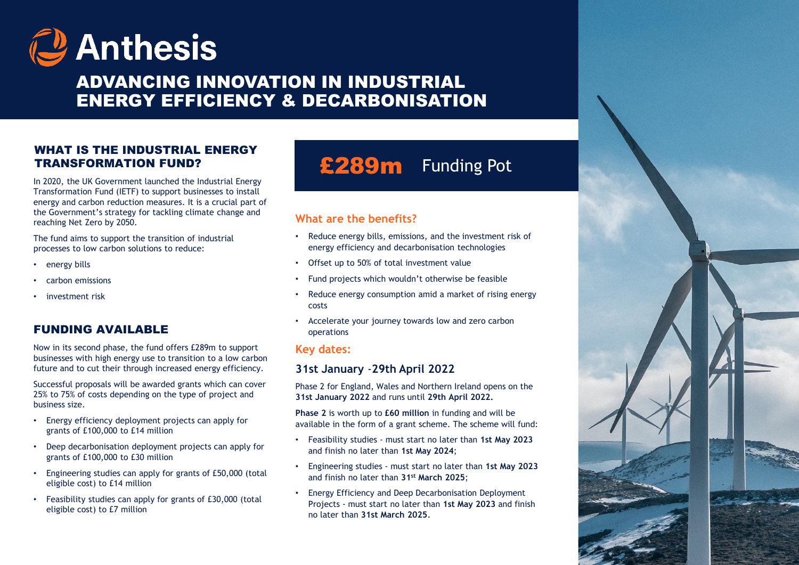

# ADVANCING INNOVATION IN INDUSTRIAL ENERGY EFFICIENCY & DECARBONISATION

## WHAT IS THE INDUSTRIAL ENERGY TRANSFORMATION FUND?

In 2020, the UK Government launched the Industrial Energy Transformation Fund (IETF) to support businesses to install energy and carbon reduction measures. It is a crucial part of the Government's strategy for tackling climate change and reaching Net Zero by 2050.

The fund aims to support the transition of industrial processes to low carbon solutions to reduce:

- energy bills
- carbon emissions
- investment risk

# FUNDING AVAILABLE

Now in its second phase, the fund offers £289m to support businesses with high energy use to transition to a low carbon future and to cut their through increased energy efficiency.

Successful proposals will be awarded grants which can cover 25% to 75% of costs depending on the type of project and business size.

- Energy efficiency deployment projects can apply for grants of £100,000 to £14 million
- Deep decarbonisation deployment projects can apply for grants of £100,000 to £30 million
- Engineering studies can apply for grants of £50,000 (total eligible cost) to £14 million
- Feasibility studies can apply for grants of £30,000 (total eligible cost) to £7 million

# £289m Funding Pot

projected costs<br>projected costs

## **What are the benefits?**

- Reduce energy bills, emissions, and the investment risk of energy efficiency and decarbonisation technologies
- Offset up to 50% of total investment value
- Fund projects which wouldn't otherwise be feasible
- Reduce energy consumption amid a market of rising energy costs
- Accelerate your journey towards low and zero carbon operations

#### **Key dates:**

#### **31st January** -**29th April 2022**

Phase 2 for England, Wales and Northern Ireland opens on the **31st January 2022** and runs until **29th April 2022.**

**Phase 2** is worth up to **£60 million** in funding and will be available in the form of a grant scheme. The scheme will fund:

- Feasibility studies must start no later than **1st May 2023**  and finish no later than **1st May 2024**;
- Engineering studies must start no later than **1st May 2023**  and finish no later than **31st March 2025**;
- Energy Efficiency and Deep Decarbonisation Deployment Projects - must start no later than **1st May 2023** and finish no later than **31st March 2025**.

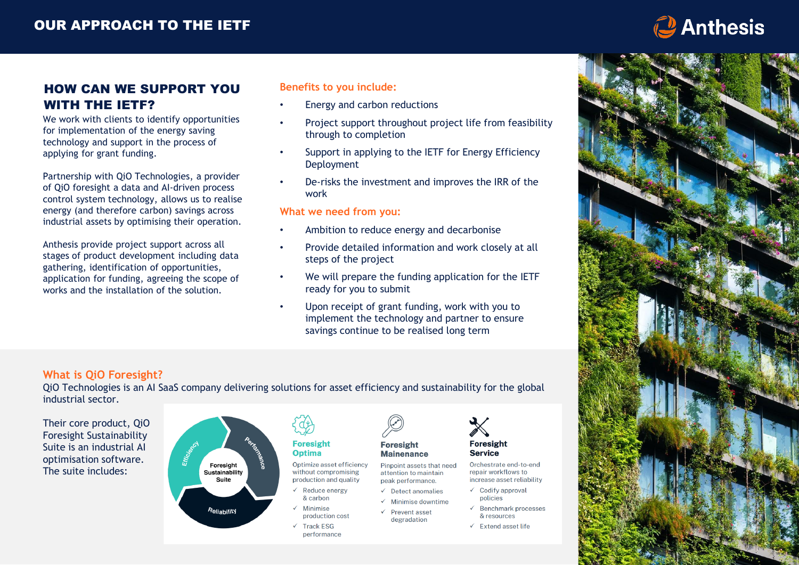

# HOW CAN WE SUPPORT YOU WITH THE IETF?

We work with clients to identify opportunities for implementation of the energy saving technology and support in the process of applying for grant funding.

Partnership with QiO Technologies, a provider of QiO foresight a data and AI-driven process control system technology, allows us to realise energy (and therefore carbon) savings across industrial assets by optimising their operation.

Anthesis provide project support across all stages of product development including data gathering, identification of opportunities, application for funding, agreeing the scope of works and the installation of the solution.

#### **Benefits to you include:**

- Energy and carbon reductions
- Project support throughout project life from feasibility through to completion
- Support in applying to the IETF for Energy Efficiency **Deployment**
- De-risks the investment and improves the IRR of the work

#### **What we need from you:**

- Ambition to reduce energy and decarbonise
- Provide detailed information and work closely at all steps of the project
- We will prepare the funding application for the IETF ready for you to submit
- Upon receipt of grant funding, work with you to implement the technology and partner to ensure savings continue to be realised long term

#### **What is QiO Foresight?**

QiO Technologies is an AI SaaS company delivering solutions for asset efficiency and sustainability for the global industrial sector.







# Optimize asset efficiency

without compromising production and quality

- Reduce energy & carbon
- Minimise production cost
- **Track ESG** performance



**Mainenance** Pinpoint assets that need attention to maintain

- peak performance.
- $\checkmark$  Detect anomalies  $\checkmark$  Minimise downtime
- $\checkmark$  Prevent asset degradation
- & resources  $\checkmark$  Extend asset life

Orchestrate end-to-end

increase asset reliability

 $\checkmark$  Benchmark processes

repair workflows to

 $\checkmark$  Codify approval

policies

**Foresight** 

**Service**